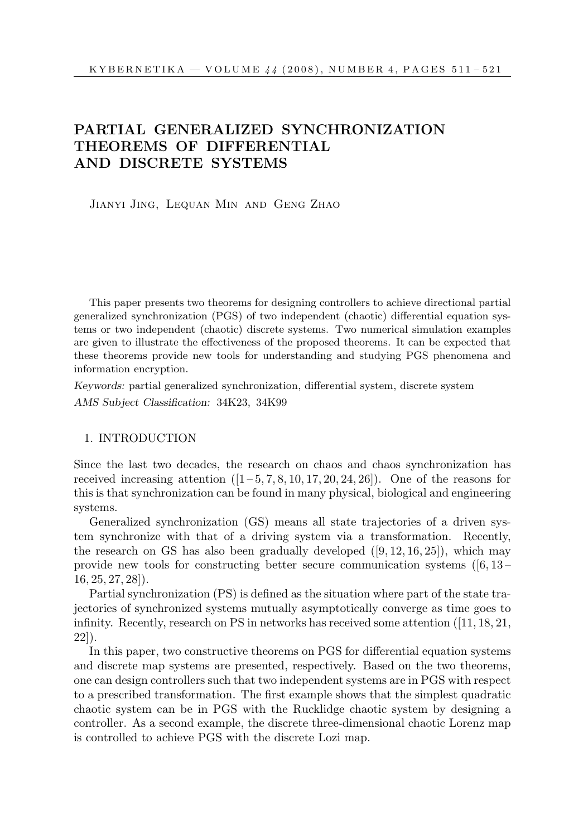# PARTIAL GENERALIZED SYNCHRONIZATION THEOREMS OF DIFFERENTIAL AND DISCRETE SYSTEMS

Jianyi Jing, Lequan Min and Geng Zhao

This paper presents two theorems for designing controllers to achieve directional partial generalized synchronization (PGS) of two independent (chaotic) differential equation systems or two independent (chaotic) discrete systems. Two numerical simulation examples are given to illustrate the effectiveness of the proposed theorems. It can be expected that these theorems provide new tools for understanding and studying PGS phenomena and information encryption.

Keywords: partial generalized synchronization, differential system, discrete system AMS Subject Classification: 34K23, 34K99

### 1. INTRODUCTION

Since the last two decades, the research on chaos and chaos synchronization has received increasing attention  $([1-5, 7, 8, 10, 17, 20, 24, 26])$ . One of the reasons for this is that synchronization can be found in many physical, biological and engineering systems.

Generalized synchronization (GS) means all state trajectories of a driven system synchronize with that of a driving system via a transformation. Recently, the research on GS has also been gradually developed ([9, 12, 16, 25]), which may provide new tools for constructing better secure communication systems  $([6, 13 16, 25, 27, 28$ .

Partial synchronization (PS) is defined as the situation where part of the state trajectories of synchronized systems mutually asymptotically converge as time goes to infinity. Recently, research on PS in networks has received some attention ([11, 18, 21, 22]).

In this paper, two constructive theorems on PGS for differential equation systems and discrete map systems are presented, respectively. Based on the two theorems, one can design controllers such that two independent systems are in PGS with respect to a prescribed transformation. The first example shows that the simplest quadratic chaotic system can be in PGS with the Rucklidge chaotic system by designing a controller. As a second example, the discrete three-dimensional chaotic Lorenz map is controlled to achieve PGS with the discrete Lozi map.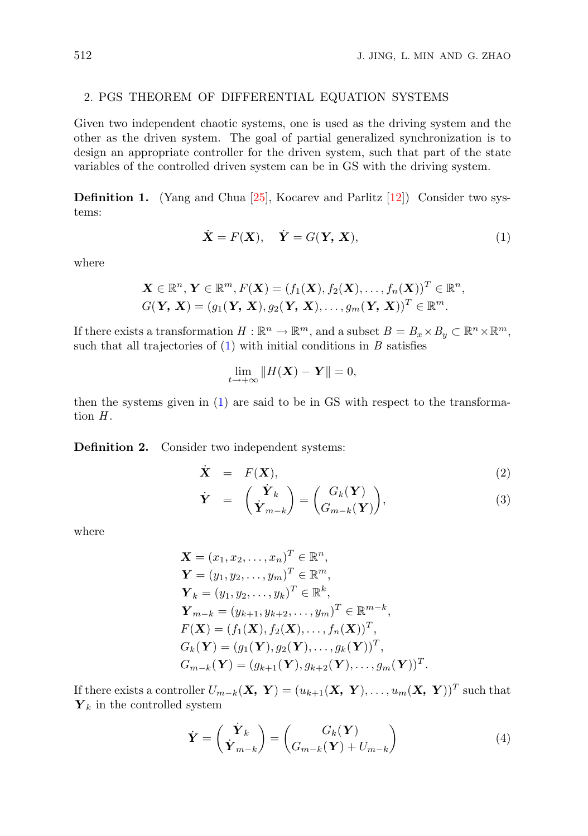## 2. PGS THEOREM OF DIFFERENTIAL EQUATION SYSTEMS

Given two independent chaotic systems, one is used as the driving system and the other as the driven system. The goal of partial generalized synchronization is to design an appropriate controller for the driven system, such that part of the state variables of the controlled driven system can be in GS with the driving system.

Definition 1. (Yang and Chua [25], Kocarev and Parlitz [12]) Consider two systems:

$$
\dot{\mathbf{X}} = F(\mathbf{X}), \quad \dot{\mathbf{Y}} = G(\mathbf{Y}, \mathbf{X}), \tag{1}
$$

where

$$
\mathbf{X} \in \mathbb{R}^n, \mathbf{Y} \in \mathbb{R}^m, F(\mathbf{X}) = (f_1(\mathbf{X}), f_2(\mathbf{X}), \dots, f_n(\mathbf{X}))^T \in \mathbb{R}^n,
$$
  

$$
G(\mathbf{Y}, \mathbf{X}) = (g_1(\mathbf{Y}, \mathbf{X}), g_2(\mathbf{Y}, \mathbf{X}), \dots, g_m(\mathbf{Y}, \mathbf{X}))^T \in \mathbb{R}^m.
$$

If there exists a transformation  $H : \mathbb{R}^n \to \mathbb{R}^m$ , and a subset  $B = B_x \times B_y \subset \mathbb{R}^n \times \mathbb{R}^m$ , such that all trajectories of  $(1)$  with initial conditions in B satisfies

$$
\lim_{t \to +\infty} \|H(\mathbf{X}) - \mathbf{Y}\| = 0,
$$

then the systems given in (1) are said to be in GS with respect to the transformation  $H$ .

Definition 2. Consider two independent systems:

$$
\dot{\mathbf{X}} = F(\mathbf{X}), \tag{2}
$$

$$
\dot{\mathbf{Y}} = \begin{pmatrix} \dot{\mathbf{Y}}_k \\ \dot{\mathbf{Y}}_{m-k} \end{pmatrix} = \begin{pmatrix} G_k(\mathbf{Y}) \\ G_{m-k}(\mathbf{Y}) \end{pmatrix},
$$
\n(3)

where

$$
\mathbf{X} = (x_1, x_2, \dots, x_n)^T \in \mathbb{R}^n, \n\mathbf{Y} = (y_1, y_2, \dots, y_m)^T \in \mathbb{R}^m, \n\mathbf{Y}_k = (y_1, y_2, \dots, y_k)^T \in \mathbb{R}^k, \n\mathbf{Y}_{m-k} = (y_{k+1}, y_{k+2}, \dots, y_m)^T \in \mathbb{R}^{m-k}, \nF(\mathbf{X}) = (f_1(\mathbf{X}), f_2(\mathbf{X}), \dots, f_n(\mathbf{X}))^T, \nG_k(\mathbf{Y}) = (g_1(\mathbf{Y}), g_2(\mathbf{Y}), \dots, g_k(\mathbf{Y}))^T, \nG_{m-k}(\mathbf{Y}) = (g_{k+1}(\mathbf{Y}), g_{k+2}(\mathbf{Y}), \dots, g_m(\mathbf{Y}))^T.
$$

If there exists a controller  $U_{m-k}(\mathbf{X}, \mathbf{Y}) = (u_{k+1}(\mathbf{X}, \mathbf{Y}), \ldots, u_m(\mathbf{X}, \mathbf{Y}))^T$  such that  $Y_k$  in the controlled system

$$
\dot{\mathbf{Y}} = \begin{pmatrix} \dot{\mathbf{Y}}_k \\ \dot{\mathbf{Y}}_{m-k} \end{pmatrix} = \begin{pmatrix} G_k(\mathbf{Y}) \\ G_{m-k}(\mathbf{Y}) + U_{m-k} \end{pmatrix}
$$
(4)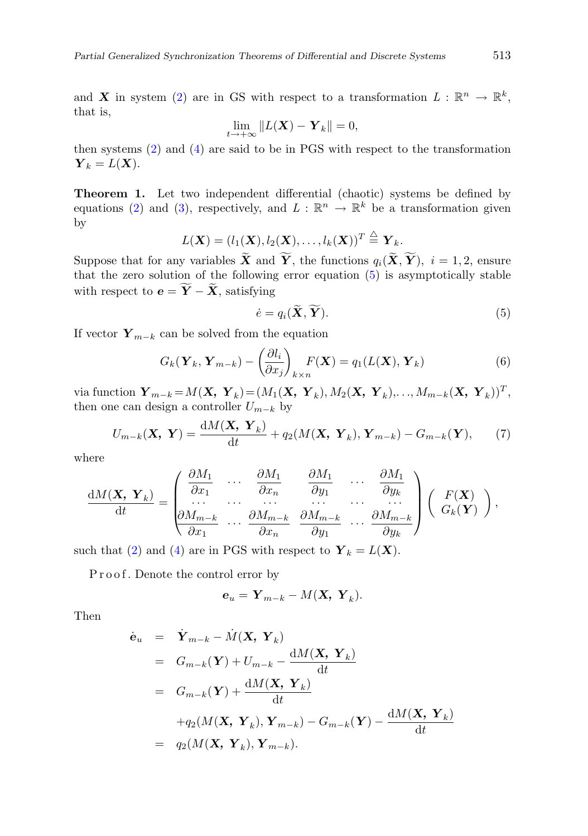and X in system (2) are in GS with respect to a transformation  $L : \mathbb{R}^n \to \mathbb{R}^k$ , that is,

$$
\lim_{t\to+\infty}\|L(\mathbf{X})-\mathbf{Y}_k\|=0,
$$

then systems (2) and (4) are said to be in PGS with respect to the transformation  $\boldsymbol{Y}_k = L(\boldsymbol{X}).$ 

Theorem 1. Let two independent differential (chaotic) systems be defined by equations (2) and (3), respectively, and  $L : \mathbb{R}^n \to \mathbb{R}^k$  be a transformation given by

$$
L(\mathbf{X}) = (l_1(\mathbf{X}), l_2(\mathbf{X}), \dots, l_k(\mathbf{X}))^T \stackrel{\triangle}{=} \mathbf{Y}_k.
$$

Suppose that for any variables  $\widetilde{\mathbf{X}}$  and  $\widetilde{\mathbf{Y}}$ , the functions  $q_i(\widetilde{\mathbf{X}}, \widetilde{\mathbf{Y}})$ ,  $i = 1, 2$ , ensure that the zero solution of the following error equation (5) is asymptotically stable with respect to  $\mathbf{e} = \widetilde{\mathbf{Y}} - \widetilde{\mathbf{X}}$ , satisfying

$$
\dot{e} = q_i(\widetilde{\mathbf{X}}, \widetilde{\mathbf{Y}}). \tag{5}
$$

If vector  $Y_{m-k}$  can be solved from the equation

$$
G_k(\mathbf{Y}_k, \mathbf{Y}_{m-k}) - \left(\frac{\partial l_i}{\partial x_j}\right)_{k \times n} F(\mathbf{X}) = q_1(L(\mathbf{X}), \mathbf{Y}_k)
$$
(6)

via function  $\boldsymbol{Y}_{m-k} = M(\boldsymbol{X}, \ \boldsymbol{Y}_k) = (M_1(\boldsymbol{X}, \ \boldsymbol{Y}_k), M_2(\boldsymbol{X}, \ \boldsymbol{Y}_k), \ldots, M_{m-k}(\boldsymbol{X}, \ \boldsymbol{Y}_k))^T,$ then one can design a controller  $U_{m-k}$  by

$$
U_{m-k}(\mathbf{X}, \mathbf{Y}) = \frac{\mathrm{d}M(\mathbf{X}, \mathbf{Y}_k)}{\mathrm{d}t} + q_2(M(\mathbf{X}, \mathbf{Y}_k), \mathbf{Y}_{m-k}) - G_{m-k}(\mathbf{Y}), \qquad (7)
$$

where

$$
\frac{\mathrm{d}M(\mathbf{X},\mathbf{Y}_k)}{\mathrm{d}t} = \begin{pmatrix}\n\frac{\partial M_1}{\partial x_1} & \cdots & \frac{\partial M_1}{\partial x_n} & \frac{\partial M_1}{\partial y_1} & \cdots & \frac{\partial M_1}{\partial y_k} \\
\vdots & \vdots & \ddots & \vdots & \vdots \\
\frac{\partial M_{m-k}}{\partial x_1} & \cdots & \frac{\partial M_{m-k}}{\partial x_n} & \frac{\partial M_{m-k}}{\partial y_1} & \cdots & \frac{\partial M_{m-k}}{\partial y_k}\n\end{pmatrix}\n\begin{pmatrix}\nF(\mathbf{X}) \\
G_k(\mathbf{Y})\n\end{pmatrix},
$$

such that (2) and (4) are in PGS with respect to  $Y_k = L(X)$ .

Proof. Denote the control error by

$$
\mathbf{e}_u = \mathbf{Y}_{m-k} - M(\mathbf{X}, \mathbf{Y}_k).
$$

Then

$$
\dot{\mathbf{e}}_u = \dot{\mathbf{Y}}_{m-k} - \dot{M}(\mathbf{X}, \mathbf{Y}_k)
$$
\n
$$
= G_{m-k}(\mathbf{Y}) + U_{m-k} - \frac{dM(\mathbf{X}, \mathbf{Y}_k)}{dt}
$$
\n
$$
= G_{m-k}(\mathbf{Y}) + \frac{dM(\mathbf{X}, \mathbf{Y}_k)}{dt}
$$
\n
$$
+ q_2(M(\mathbf{X}, \mathbf{Y}_k), \mathbf{Y}_{m-k}) - G_{m-k}(\mathbf{Y}) - \frac{dM(\mathbf{X}, \mathbf{Y}_k)}{dt}
$$
\n
$$
= q_2(M(\mathbf{X}, \mathbf{Y}_k), \mathbf{Y}_{m-k}).
$$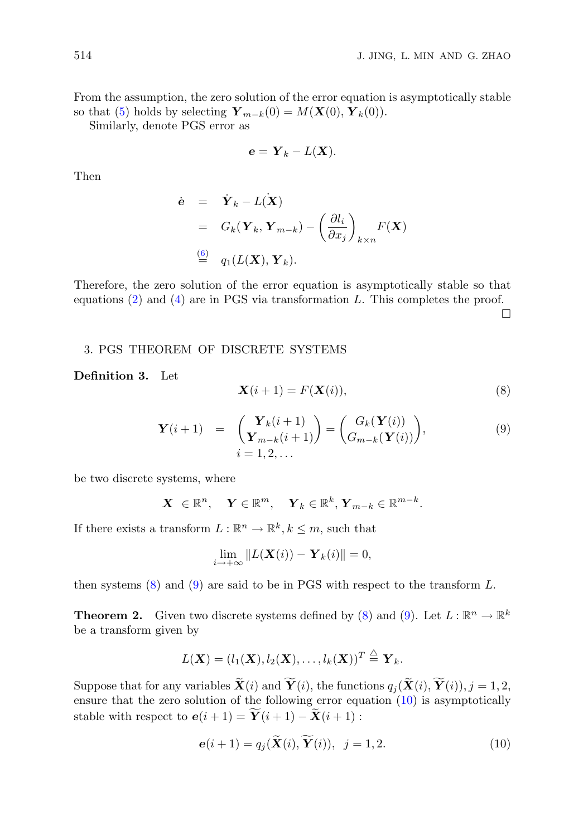From the assumption, the zero solution of the error equation is asymptotically stable so that (5) holds by selecting  $\mathbf{Y}_{m-k}(0) = M(\mathbf{X}(0), \mathbf{Y}_k(0)).$ 

Similarly, denote PGS error as

$$
\mathbf{e} = \mathbf{Y}_k - L(\mathbf{X}).
$$

Then

$$
\dot{\mathbf{e}} = \dot{\mathbf{Y}}_k - L(\dot{\mathbf{X}})
$$
  
=  $G_k(\mathbf{Y}_k, \mathbf{Y}_{m-k}) - \left(\frac{\partial l_i}{\partial x_j}\right)_{k \times n} F(\mathbf{X})$   
 $\stackrel{(6)}{=} q_1(L(\mathbf{X}), \mathbf{Y}_k).$ 

Therefore, the zero solution of the error equation is asymptotically stable so that equations  $(2)$  and  $(4)$  are in PGS via transformation L. This completes the proof.

¤

#### 3. PGS THEOREM OF DISCRETE SYSTEMS

#### Definition 3. Let

$$
\mathbf{X}(i+1) = F(\mathbf{X}(i)),\tag{8}
$$

$$
\mathbf{Y}(i+1) = \begin{pmatrix} \mathbf{Y}_k(i+1) \\ \mathbf{Y}_{m-k}(i+1) \end{pmatrix} = \begin{pmatrix} G_k(\mathbf{Y}(i)) \\ G_{m-k}(\mathbf{Y}(i)) \end{pmatrix},
$$
(9)  
 $i = 1, 2, ...$ 

be two discrete systems, where

$$
\mathbf{X} \in \mathbb{R}^n, \quad \mathbf{Y} \in \mathbb{R}^m, \quad \mathbf{Y}_k \in \mathbb{R}^k, \mathbf{Y}_{m-k} \in \mathbb{R}^{m-k}.
$$

If there exists a transform  $L : \mathbb{R}^n \to \mathbb{R}^k, k \leq m$ , such that

$$
\lim_{i \to +\infty} \|L(\mathbf{X}(i)) - \mathbf{Y}_k(i)\| = 0,
$$

then systems  $(8)$  and  $(9)$  are said to be in PGS with respect to the transform L.

**Theorem 2.** Given two discrete systems defined by (8) and (9). Let  $L : \mathbb{R}^n \to \mathbb{R}^k$ be a transform given by

$$
L(\mathbf{X})=(l_1(\mathbf{X}),l_2(\mathbf{X}),\ldots,l_k(\mathbf{X}))^T\stackrel{\triangle}{=} \mathbf{Y}_k.
$$

Suppose that for any variables  $\widetilde{\mathbf{X}}(i)$  and  $\widetilde{\mathbf{Y}}(i)$ , the functions  $q_i(\widetilde{\mathbf{X}}(i), \widetilde{\mathbf{Y}}(i)), j = 1, 2$ , ensure that the zero solution of the following error equation (10) is asymptotically stable with respect to  $e(i + 1) = \mathbf{Y}(i + 1) - \mathbf{X}(i + 1)$ :

$$
\mathbf{e}(i+1) = q_j(\mathbf{X}(i), \mathbf{Y}(i)), \ \ j = 1, 2. \tag{10}
$$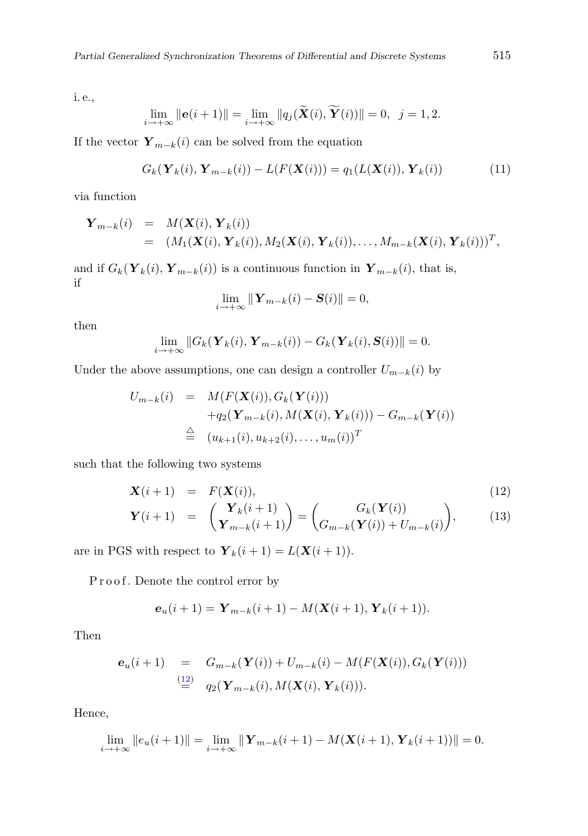i. e.,

$$
\lim_{i \to +\infty} \|\mathbf{e}(i+1)\| = \lim_{i \to +\infty} \|q_j(\widetilde{\mathbf{X}}(i), \widetilde{\mathbf{Y}}(i))\| = 0, \ \ j = 1, 2.
$$

If the vector  $\mathbf{Y}_{m-k}(i)$  can be solved from the equation

$$
G_k(\mathbf{Y}_k(i), \mathbf{Y}_{m-k}(i)) - L(F(\mathbf{X}(i))) = q_1(L(\mathbf{X}(i)), \mathbf{Y}_k(i))
$$
(11)

via function

$$
\mathbf{Y}_{m-k}(i) = M(\mathbf{X}(i), \mathbf{Y}_k(i))
$$
  
=  $(M_1(\mathbf{X}(i), \mathbf{Y}_k(i)), M_2(\mathbf{X}(i), \mathbf{Y}_k(i)), \ldots, M_{m-k}(\mathbf{X}(i), \mathbf{Y}_k(i)))^T,$ 

and if  $G_k(Y_k(i), Y_{m-k}(i))$  is a continuous function in  $Y_{m-k}(i)$ , that is, if

$$
\lim_{i \to +\infty} \|\mathbf{Y}_{m-k}(i) - \mathbf{S}(i)\| = 0,
$$

then

$$
\lim_{i \to +\infty} \|G_k(\mathbf{Y}_k(i), \mathbf{Y}_{m-k}(i)) - G_k(\mathbf{Y}_k(i), \mathbf{S}(i))\| = 0.
$$

Under the above assumptions, one can design a controller  $U_{m-k}(i)$  by

$$
U_{m-k}(i) = M(F(\mathbf{X}(i)), G_k(\mathbf{Y}(i)))
$$
  
+
$$
q_2(\mathbf{Y}_{m-k}(i), M(\mathbf{X}(i), \mathbf{Y}_k(i))) - G_{m-k}(\mathbf{Y}(i))
$$
  

$$
\triangleq (u_{k+1}(i), u_{k+2}(i), \dots, u_m(i))^T
$$

such that the following two systems

$$
\mathbf{X}(i+1) = F(\mathbf{X}(i)), \tag{12}
$$

$$
\mathbf{Y}(i+1) = \begin{pmatrix} \mathbf{Y}_k(i+1) \\ \mathbf{Y}_{m-k}(i+1) \end{pmatrix} = \begin{pmatrix} G_k(\mathbf{Y}(i)) \\ G_{m-k}(\mathbf{Y}(i)) + U_{m-k}(i) \end{pmatrix},
$$
(13)

are in PGS with respect to  $\mathbf{Y}_k(i+1) = L(\mathbf{X}(i+1)).$ 

Proof. Denote the control error by

$$
\mathbf{e}_u(i+1) = \mathbf{Y}_{m-k}(i+1) - M(\mathbf{X}(i+1), \mathbf{Y}_k(i+1)).
$$

Then

$$
\begin{array}{rcl}\n\mathbf{e}_u(i+1) & = & G_{m-k}(\mathbf{Y}(i)) + U_{m-k}(i) - M(F(\mathbf{X}(i)), G_k(\mathbf{Y}(i))) \\
& \stackrel{(12)}{=} & q_2(\mathbf{Y}_{m-k}(i), M(\mathbf{X}(i), \mathbf{Y}_k(i))).\n\end{array}
$$

Hence,

$$
\lim_{i \to +\infty} ||e_u(i+1)|| = \lim_{i \to +\infty} ||\mathbf{Y}_{m-k}(i+1) - M(\mathbf{X}(i+1), \mathbf{Y}_k(i+1))|| = 0.
$$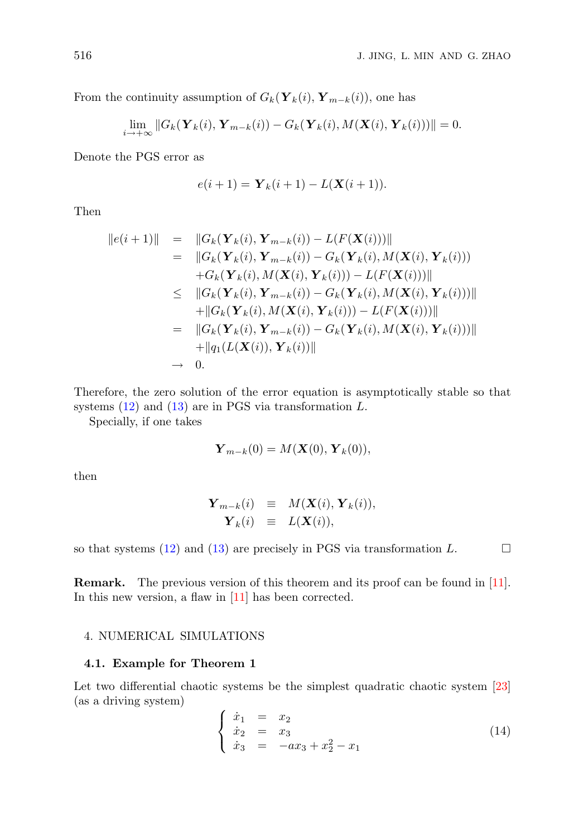From the continuity assumption of  $G_k(\mathbf{Y}_k(i), \mathbf{Y}_{m-k}(i))$ , one has

$$
\lim_{i \to +\infty} ||G_k(\mathbf{Y}_k(i), \mathbf{Y}_{m-k}(i)) - G_k(\mathbf{Y}_k(i), M(\mathbf{X}(i), \mathbf{Y}_k(i)))|| = 0.
$$

Denote the PGS error as

$$
e(i + 1) = Y_k(i + 1) - L(X(i + 1)).
$$

Then

$$
||e(i+1)|| = ||G_k(\mathbf{Y}_k(i), \mathbf{Y}_{m-k}(i)) - L(F(\mathbf{X}(i)))||
$$
  
\n
$$
= ||G_k(\mathbf{Y}_k(i), \mathbf{Y}_{m-k}(i)) - G_k(\mathbf{Y}_k(i), M(\mathbf{X}(i), \mathbf{Y}_k(i)))
$$
  
\n
$$
+ G_k(\mathbf{Y}_k(i), M(\mathbf{X}(i), \mathbf{Y}_k(i))) - L(F(\mathbf{X}(i)))||
$$
  
\n
$$
\leq ||G_k(\mathbf{Y}_k(i), \mathbf{Y}_{m-k}(i)) - G_k(\mathbf{Y}_k(i), M(\mathbf{X}(i), \mathbf{Y}_k(i)))||
$$
  
\n
$$
+ ||G_k(\mathbf{Y}_k(i), M(\mathbf{X}(i), \mathbf{Y}_k(i))) - L(F(\mathbf{X}(i)))||
$$
  
\n
$$
= ||G_k(\mathbf{Y}_k(i), \mathbf{Y}_{m-k}(i)) - G_k(\mathbf{Y}_k(i), M(\mathbf{X}(i), \mathbf{Y}_k(i)))||
$$
  
\n
$$
+ ||q_1(L(\mathbf{X}(i)), \mathbf{Y}_k(i))||
$$
  
\n
$$
\rightarrow 0.
$$

Therefore, the zero solution of the error equation is asymptotically stable so that systems  $(12)$  and  $(13)$  are in PGS via transformation L.

Specially, if one takes

$$
\mathbf{Y}_{m-k}(0) = M(\mathbf{X}(0), \mathbf{Y}_k(0)),
$$

then

$$
\begin{array}{rcl}\n\mathbf{Y}_{m-k}(i) & \equiv & M(\mathbf{X}(i), \mathbf{Y}_k(i)), \\
\mathbf{Y}_k(i) & \equiv & L(\mathbf{X}(i)),\n\end{array}
$$

so that systems (12) and (13) are precisely in PGS via transformation  $L$ .  $\Box$ 

Remark. The previous version of this theorem and its proof can be found in [11]. In this new version, a flaw in [11] has been corrected.

#### 4. NUMERICAL SIMULATIONS

# 4.1. Example for Theorem 1

Let two differential chaotic systems be the simplest quadratic chaotic system [23] (as a driving system)

$$
\begin{cases}\n\dot{x}_1 = x_2 \\
\dot{x}_2 = x_3 \\
\dot{x}_3 = -ax_3 + x_2^2 - x_1\n\end{cases}
$$
\n(14)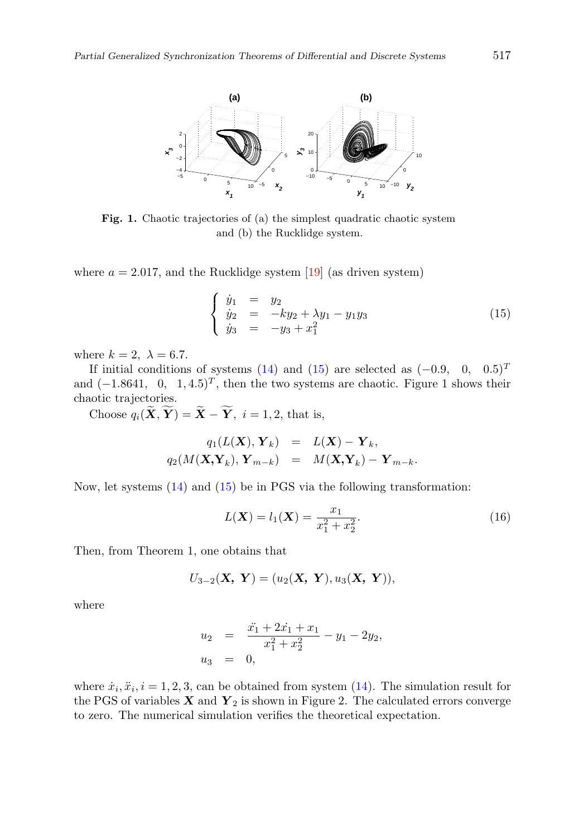

Fig. 1. Chaotic trajectories of (a) the simplest quadratic chaotic system and (b) the Rucklidge system.

where  $a = 2.017$ , and the Rucklidge system [19] (as driven system)

$$
\begin{cases}\n\dot{y}_1 = y_2 \\
\dot{y}_2 = -ky_2 + \lambda y_1 - y_1 y_3 \\
\dot{y}_3 = -y_3 + x_1^2\n\end{cases}
$$
\n(15)

where  $k = 2$ ,  $\lambda = 6.7$ .

If initial conditions of systems (14) and (15) are selected as  $(-0.9, 0, 0.5)^T$ and  $(-1.8641, 0, 1, 4.5)^T$ , then the two systems are chaotic. Figure 1 shows their chaotic trajectories.

Choose  $q_i(\widetilde{\mathbf{X}}, \widetilde{\mathbf{Y}}) = \widetilde{\mathbf{X}} - \widetilde{\mathbf{Y}}, i = 1, 2$ , that is,

$$
q_1(L(\mathbf{X}), \mathbf{Y}_k) = L(\mathbf{X}) - \mathbf{Y}_k,
$$
  

$$
q_2(M(\mathbf{X}, \mathbf{Y}_k), \mathbf{Y}_{m-k}) = M(\mathbf{X}, \mathbf{Y}_k) - \mathbf{Y}_{m-k}.
$$

Now, let systems (14) and (15) be in PGS via the following transformation:

$$
L(\mathbf{X}) = l_1(\mathbf{X}) = \frac{x_1}{x_1^2 + x_2^2}.
$$
 (16)

Then, from Theorem 1, one obtains that

$$
U_{3-2}(\mathbf{X}, \mathbf{Y}) = (u_2(\mathbf{X}, \mathbf{Y}), u_3(\mathbf{X}, \mathbf{Y})),
$$

where

$$
u_2 = \frac{\ddot{x_1} + 2\dot{x_1} + x_1}{x_1^2 + x_2^2} - y_1 - 2y_2,
$$
  

$$
u_3 = 0,
$$

where  $\dot{x}_i, \ddot{x}_i, i = 1, 2, 3$ , can be obtained from system (14). The simulation result for the PGS of variables  $X$  and  $Y_2$  is shown in Figure 2. The calculated errors converge to zero. The numerical simulation verifies the theoretical expectation.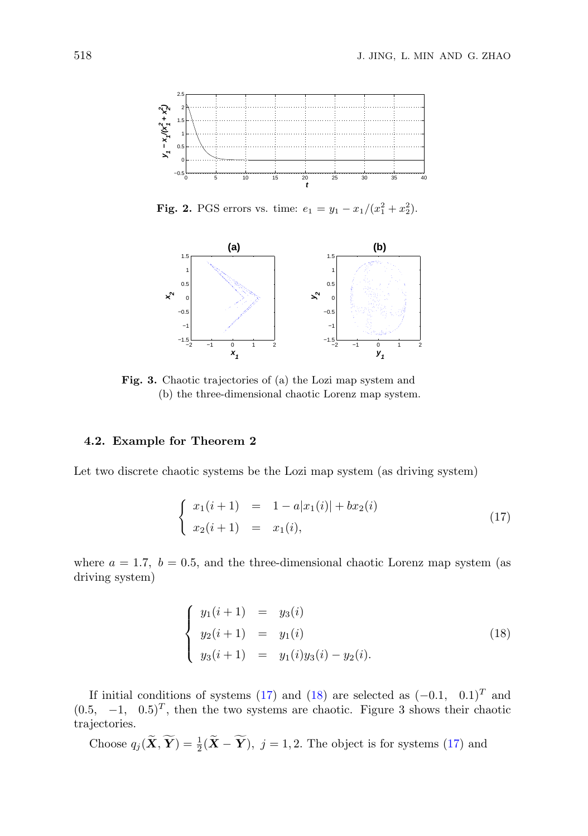

**Fig. 2.** PGS errors vs. time:  $e_1 = y_1 - x_1/(x_1^2 + x_2^2)$ .



Fig. 3. Chaotic trajectories of (a) the Lozi map system and (b) the three-dimensional chaotic Lorenz map system.

# 4.2. Example for Theorem 2

Let two discrete chaotic systems be the Lozi map system (as driving system)

$$
\begin{cases}\nx_1(i+1) = 1 - a|x_1(i)| + bx_2(i) \\
x_2(i+1) = x_1(i),\n\end{cases}
$$
\n(17)

where  $a = 1.7$ ,  $b = 0.5$ , and the three-dimensional chaotic Lorenz map system (as driving system)

$$
\begin{cases}\ny_1(i+1) = y_3(i) \\
y_2(i+1) = y_1(i) \\
y_3(i+1) = y_1(i)y_3(i) - y_2(i).\n\end{cases}
$$
\n(18)

If initial conditions of systems (17) and (18) are selected as  $(-0.1, 0.1)^T$  and  $(0.5, -1, 0.5)^T$ , then the two systems are chaotic. Figure 3 shows their chaotic trajectories.

Choose  $q_j(\tilde{\mathbf{X}}, \tilde{\mathbf{Y}}) = \frac{1}{2}(\tilde{\mathbf{X}} - \tilde{\mathbf{Y}})$ ,  $j = 1, 2$ . The object is for systems (17) and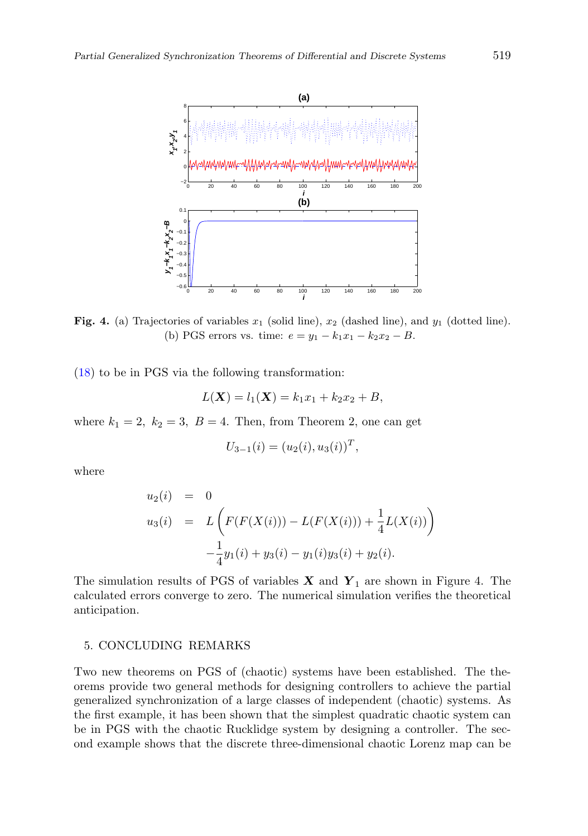

**Fig. 4.** (a) Trajectories of variables  $x_1$  (solid line),  $x_2$  (dashed line), and  $y_1$  (dotted line). (b) PGS errors vs. time:  $e = y_1 - k_1x_1 - k_2x_2 - B$ .

(18) to be in PGS via the following transformation:

$$
L(\mathbf{X}) = l_1(\mathbf{X}) = k_1 x_1 + k_2 x_2 + B,
$$

where  $k_1 = 2$ ,  $k_2 = 3$ ,  $B = 4$ . Then, from Theorem 2, one can get

$$
U_{3-1}(i) = (u_2(i), u_3(i))^T,
$$

where

$$
u_2(i) = 0
$$
  
\n
$$
u_3(i) = L\left(F(F(X(i))) - L(F(X(i))) + \frac{1}{4}L(X(i))\right)
$$
  
\n
$$
-\frac{1}{4}y_1(i) + y_3(i) - y_1(i)y_3(i) + y_2(i).
$$

The simulation results of PGS of variables  $X$  and  $Y_1$  are shown in Figure 4. The calculated errors converge to zero. The numerical simulation verifies the theoretical anticipation.

# 5. CONCLUDING REMARKS

Two new theorems on PGS of (chaotic) systems have been established. The theorems provide two general methods for designing controllers to achieve the partial generalized synchronization of a large classes of independent (chaotic) systems. As the first example, it has been shown that the simplest quadratic chaotic system can be in PGS with the chaotic Rucklidge system by designing a controller. The second example shows that the discrete three-dimensional chaotic Lorenz map can be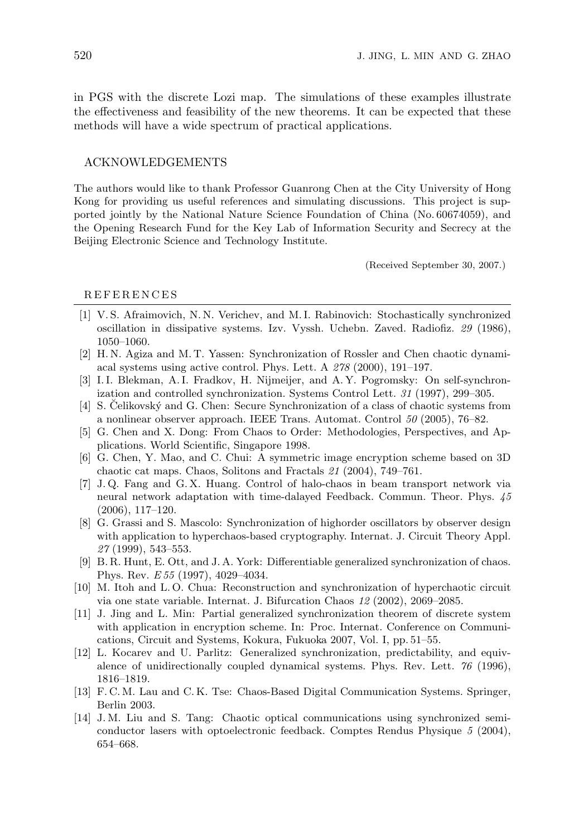in PGS with the discrete Lozi map. The simulations of these examples illustrate the effectiveness and feasibility of the new theorems. It can be expected that these methods will have a wide spectrum of practical applications.

# ACKNOWLEDGEMENTS

The authors would like to thank Professor Guanrong Chen at the City University of Hong Kong for providing us useful references and simulating discussions. This project is supported jointly by the National Nature Science Foundation of China (No. 60674059), and the Opening Research Fund for the Key Lab of Information Security and Secrecy at the Beijing Electronic Science and Technology Institute.

(Received September 30, 2007.)

#### **REFERENCES**

- [1] V. S. Afraimovich, N. N. Verichev, and M. I. Rabinovich: Stochastically synchronized oscillation in dissipative systems. Izv. Vyssh. Uchebn. Zaved. Radiofiz. 29 (1986), 1050–1060.
- [2] H. N. Agiza and M. T. Yassen: Synchronization of Rossler and Chen chaotic dynamiacal systems using active control. Phys. Lett. A 278 (2000), 191–197.
- [3] I.I. Blekman, A.I. Fradkov, H. Nijmeijer, and A.Y. Pogromsky: On self-synchronization and controlled synchronization. Systems Control Lett. 31 (1997), 299–305.
- $[4]$  S. Celikovský and G. Chen: Secure Synchronization of a class of chaotic systems from a nonlinear observer approach. IEEE Trans. Automat. Control 50 (2005), 76–82.
- [5] G. Chen and X. Dong: From Chaos to Order: Methodologies, Perspectives, and Applications. World Scientific, Singapore 1998.
- [6] G. Chen, Y. Mao, and C. Chui: A symmetric image encryption scheme based on 3D chaotic cat maps. Chaos, Solitons and Fractals 21 (2004), 749–761.
- [7] J. Q. Fang and G. X. Huang. Control of halo-chaos in beam transport network via neural network adaptation with time-dalayed Feedback. Commun. Theor. Phys. 45 (2006), 117–120.
- [8] G. Grassi and S. Mascolo: Synchronization of highorder oscillators by observer design with application to hyperchaos-based cryptography. Internat. J. Circuit Theory Appl. 27 (1999), 543–553.
- [9] B. R. Hunt, E. Ott, and J. A. York: Differentiable generalized synchronization of chaos. Phys. Rev. E 55 (1997), 4029–4034.
- [10] M. Itoh and L. O. Chua: Reconstruction and synchronization of hyperchaotic circuit via one state variable. Internat. J. Bifurcation Chaos 12 (2002), 2069–2085.
- [11] J. Jing and L. Min: Partial generalized synchronization theorem of discrete system with application in encryption scheme. In: Proc. Internat. Conference on Communications, Circuit and Systems, Kokura, Fukuoka 2007, Vol. I, pp. 51–55.
- [12] L. Kocarev and U. Parlitz: Generalized synchronization, predictability, and equivalence of unidirectionally coupled dynamical systems. Phys. Rev. Lett. 76 (1996), 1816–1819.
- [13] F. C. M. Lau and C. K. Tse: Chaos-Based Digital Communication Systems. Springer, Berlin 2003.
- [14] J. M. Liu and S. Tang: Chaotic optical communications using synchronized semiconductor lasers with optoelectronic feedback. Comptes Rendus Physique 5 (2004), 654–668.